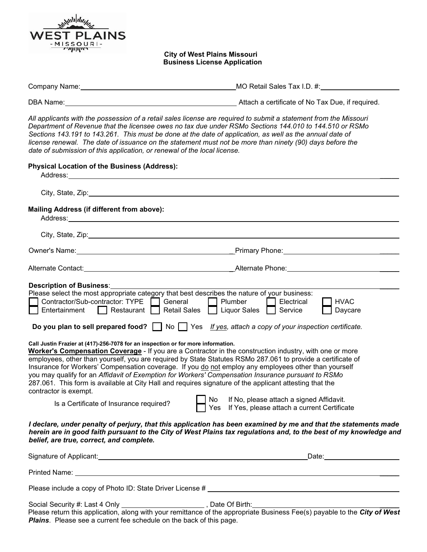

## **City of West Plains Missouri Business License Application**

| Company Name: | MO Retail Sales Tax I.D. #:                      |
|---------------|--------------------------------------------------|
|               |                                                  |
| DBA Name:     | Attach a certificate of No Tax Due, if required. |

*All applicants with the possession of a retail sales license are required to submit a statement from the Missouri Department of Revenue that the licensee owes no tax due under RSMo Sections 144.010 to 144.510 or RSMo Sections 143.191 to 143.261. This must be done at the date of application, as well as the annual date of license renewal. The date of issuance on the statement must not be more than ninety (90) days before the date of submission of this application, or renewal of the local license.*

| <b>Physical Location of the Business (Address):</b><br>Address:                                                                                                                                                                                           |                                                                                                                                                                                                                                                                                                                                                                                                                                                                                                                                                                                                                                                                                                                                                                                                                                                                                                                                                                                              |
|-----------------------------------------------------------------------------------------------------------------------------------------------------------------------------------------------------------------------------------------------------------|----------------------------------------------------------------------------------------------------------------------------------------------------------------------------------------------------------------------------------------------------------------------------------------------------------------------------------------------------------------------------------------------------------------------------------------------------------------------------------------------------------------------------------------------------------------------------------------------------------------------------------------------------------------------------------------------------------------------------------------------------------------------------------------------------------------------------------------------------------------------------------------------------------------------------------------------------------------------------------------------|
|                                                                                                                                                                                                                                                           |                                                                                                                                                                                                                                                                                                                                                                                                                                                                                                                                                                                                                                                                                                                                                                                                                                                                                                                                                                                              |
| Mailing Address (if different from above):                                                                                                                                                                                                                |                                                                                                                                                                                                                                                                                                                                                                                                                                                                                                                                                                                                                                                                                                                                                                                                                                                                                                                                                                                              |
|                                                                                                                                                                                                                                                           |                                                                                                                                                                                                                                                                                                                                                                                                                                                                                                                                                                                                                                                                                                                                                                                                                                                                                                                                                                                              |
|                                                                                                                                                                                                                                                           | Owner's Name: <u>Communication of the Communication</u> of Primary Phone:                                                                                                                                                                                                                                                                                                                                                                                                                                                                                                                                                                                                                                                                                                                                                                                                                                                                                                                    |
|                                                                                                                                                                                                                                                           |                                                                                                                                                                                                                                                                                                                                                                                                                                                                                                                                                                                                                                                                                                                                                                                                                                                                                                                                                                                              |
| <b>Description of Business:</b><br>Contractor/Sub-contractor: TYPE<br>Restaurant<br>Entertainment<br>Call Justin Frazier at (417)-256-7078 for an inspection or for more information.<br>contractor is exempt.<br>Is a Certificate of Insurance required? | Please select the most appropriate category that best describes the nature of your business:<br>General<br>Plumber<br>Electrical<br><b>HVAC</b><br><b>Retail Sales</b><br><b>Liquor Sales</b><br>Service<br>Daycare<br>Do you plan to sell prepared food? $\Box$ No $\Box$ Yes If yes, attach a copy of your inspection certificate.<br>Worker's Compensation Coverage - If you are a Contractor in the construction industry, with one or more<br>employees, other than yourself, you are required by State Statutes RSMo 287.061 to provide a certificate of<br>Insurance for Workers' Compensation coverage. If you do not employ any employees other than yourself<br>you may qualify for an Affidavit of Exemption for Workers' Compensation Insurance pursuant to RSMo<br>287.061. This form is available at City Hall and requires signature of the applicant attesting that the<br>If No, please attach a signed Affidavit.<br>No<br>Yes If Yes, please attach a current Certificate |
| belief, are true, correct, and complete.                                                                                                                                                                                                                  | I declare, under penalty of perjury, that this application has been examined by me and that the statements made<br>herein are in good faith pursuant to the City of West Plains tax regulations and, to the best of my knowledge and                                                                                                                                                                                                                                                                                                                                                                                                                                                                                                                                                                                                                                                                                                                                                         |
|                                                                                                                                                                                                                                                           |                                                                                                                                                                                                                                                                                                                                                                                                                                                                                                                                                                                                                                                                                                                                                                                                                                                                                                                                                                                              |
|                                                                                                                                                                                                                                                           |                                                                                                                                                                                                                                                                                                                                                                                                                                                                                                                                                                                                                                                                                                                                                                                                                                                                                                                                                                                              |
|                                                                                                                                                                                                                                                           | Please include a copy of Photo ID: State Driver License #                                                                                                                                                                                                                                                                                                                                                                                                                                                                                                                                                                                                                                                                                                                                                                                                                                                                                                                                    |
| Social Security #: Last 4 Only __________                                                                                                                                                                                                                 | Date Of Birth:                                                                                                                                                                                                                                                                                                                                                                                                                                                                                                                                                                                                                                                                                                                                                                                                                                                                                                                                                                               |

Please return this application, along with your remittance of the appropriate Business Fee(s) payable to the *City of West Plains*. Please see a current fee schedule on the back of this page.